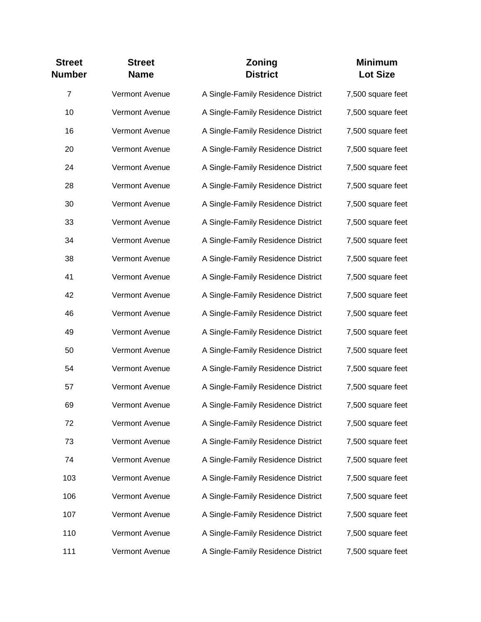| <b>Street</b><br><b>Number</b> | <b>Street</b><br><b>Name</b> | Zoning<br><b>District</b>          | <b>Minimum</b><br><b>Lot Size</b> |
|--------------------------------|------------------------------|------------------------------------|-----------------------------------|
| $\overline{7}$                 | Vermont Avenue               | A Single-Family Residence District | 7,500 square feet                 |
| 10                             | <b>Vermont Avenue</b>        | A Single-Family Residence District | 7,500 square feet                 |
| 16                             | Vermont Avenue               | A Single-Family Residence District | 7,500 square feet                 |
| 20                             | Vermont Avenue               | A Single-Family Residence District | 7,500 square feet                 |
| 24                             | Vermont Avenue               | A Single-Family Residence District | 7,500 square feet                 |
| 28                             | Vermont Avenue               | A Single-Family Residence District | 7,500 square feet                 |
| 30                             | Vermont Avenue               | A Single-Family Residence District | 7,500 square feet                 |
| 33                             | Vermont Avenue               | A Single-Family Residence District | 7,500 square feet                 |
| 34                             | Vermont Avenue               | A Single-Family Residence District | 7,500 square feet                 |
| 38                             | Vermont Avenue               | A Single-Family Residence District | 7,500 square feet                 |
| 41                             | Vermont Avenue               | A Single-Family Residence District | 7,500 square feet                 |
| 42                             | Vermont Avenue               | A Single-Family Residence District | 7,500 square feet                 |
| 46                             | Vermont Avenue               | A Single-Family Residence District | 7,500 square feet                 |
| 49                             | Vermont Avenue               | A Single-Family Residence District | 7,500 square feet                 |
| 50                             | Vermont Avenue               | A Single-Family Residence District | 7,500 square feet                 |
| 54                             | Vermont Avenue               | A Single-Family Residence District | 7,500 square feet                 |
| 57                             | Vermont Avenue               | A Single-Family Residence District | 7,500 square feet                 |
| 69                             | <b>Vermont Avenue</b>        | A Single-Family Residence District | 7,500 square feet                 |
| 72                             | Vermont Avenue               | A Single-Family Residence District | 7,500 square feet                 |
| 73                             | Vermont Avenue               | A Single-Family Residence District | 7,500 square feet                 |
| 74                             | Vermont Avenue               | A Single-Family Residence District | 7,500 square feet                 |
| 103                            | Vermont Avenue               | A Single-Family Residence District | 7,500 square feet                 |
| 106                            | Vermont Avenue               | A Single-Family Residence District | 7,500 square feet                 |
| 107                            | Vermont Avenue               | A Single-Family Residence District | 7,500 square feet                 |
| 110                            | Vermont Avenue               | A Single-Family Residence District | 7,500 square feet                 |
| 111                            | Vermont Avenue               | A Single-Family Residence District | 7,500 square feet                 |